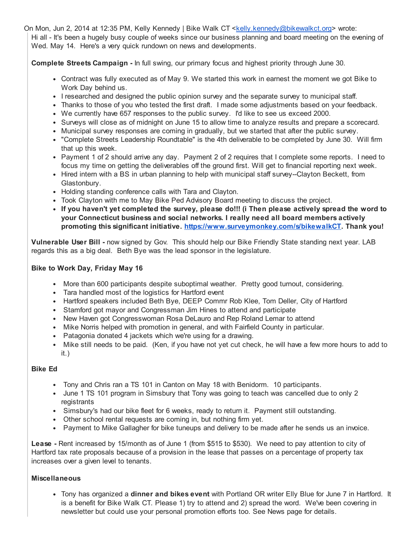On Mon, Jun 2, 2014 at 12:35 PM, Kelly Kennedy | Bike Walk CT <[kelly.kennedy@bikewalkct.org](mailto:kelly.kennedy@bikewalkct.org)> wrote: Hi all - It's been a hugely busy couple of weeks since our business planning and board meeting on the evening of Wed. May 14. Here's a very quick rundown on news and developments.

Complete Streets Campaign - In full swing, our primary focus and highest priority through June 30.

- Contract was fully executed as of May 9. We started this work in earnest the moment we got Bike to Work Day behind us.
- I researched and designed the public opinion survey and the separate survey to municipal staff.
- Thanks to those of you who tested the first draft. I made some adjustments based on your feedback.
- We currently have 657 responses to the public survey. I'd like to see us exceed 2000.
- Surveys will close as of midnight on June 15 to allow time to analyze results and prepare a scorecard.
- Municipal survey responses are coming in gradually, but we started that after the public survey.
- "Complete Streets Leadership Roundtable" is the 4th deliverable to be completed by June 30. Will firm that up this week.
- Payment 1 of 2 should arrive any day. Payment 2 of 2 requires that I complete some reports. I need to focus my time on getting the deliverables off the ground first. Will get to financial reporting next week.
- Hired intern with a BS in urban planning to help with municipal staff survey--Clayton Beckett, from Glastonbury.
- Holding standing conference calls with Tara and Clayton.
- Took Clayton with me to May Bike Ped Advisory Board meeting to discuss the project.
- If you haven't yet completed the survey, please do!!! (i Then please actively spread the word to your Connecticut business and social networks. I really need all board members actively promoting this significant initiative. [https://www.surveymonkey.com/s/bikewalkCT.](https://www.surveymonkey.com/s/bikewalkCT) Thank you!

Vulnerable User Bill - now signed by Gov. This should help our Bike Friendly State standing next year. LAB regards this as a big deal. Beth Bye was the lead sponsor in the legislature.

## Bike to Work Day, Friday May 16

- More than 600 participants despite suboptimal weather. Pretty good turnout, considering.
- Tara handled most of the logistics for Hartford event
- Hartford speakers included Beth Bye, DEEP Commr Rob Klee, Tom Deller, City of Hartford
- Stamford got mayor and Congressman Jim Hines to attend and participate
- New Haven got Congresswoman Rosa DeLauro and Rep Roland Lemar to attend
- Mike Norris helped with promotion in general, and with Fairfield County in particular.
- Patagonia donated 4 jackets which we're using for a drawing.
- Mike still needs to be paid. (Ken, if you have not yet cut check, he will have a few more hours to add to it.)

## Bike Ed

- Tony and Chris ran a TS 101 in Canton on May 18 with Benidorm. 10 participants.
- June 1 TS 101 program in Simsbury that Tony was going to teach was cancelled due to only 2 registrants
- Simsbury's had our bike fleet for 6 weeks, ready to return it. Payment still outstanding.
- Other school rental requests are coming in, but nothing firm yet.
- Payment to Mike Gallagher for bike tuneups and delivery to be made after he sends us an invoice.

Lease - Rent increased by 15/month as of June 1 (from \$515 to \$530). We need to pay attention to city of Hartford tax rate proposals because of a provision in the lease that passes on a percentage of property tax increases over a given level to tenants.

## Miscellaneous

• Tony has organized a **dinner and bikes event** with Portland OR writer Elly Blue for June 7 in Hartford. It is a benefit for Bike Walk CT. Please 1) try to attend and 2) spread the word. We've been covering in newsletter but could use your personal promotion efforts too. See News page for details.